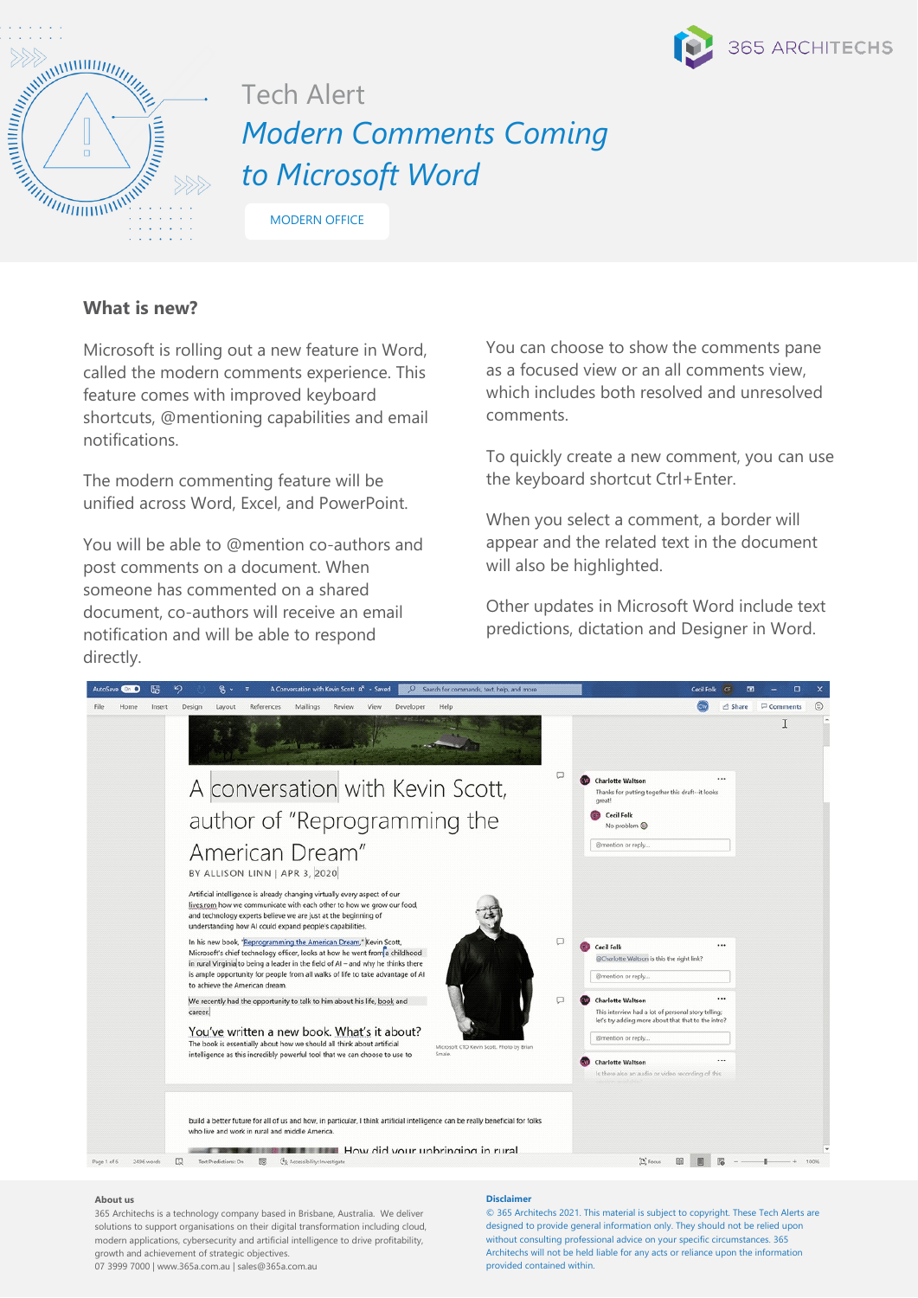



# Tech Alert *Modern Comments Coming to Microsoft Word*

MODERN OFFICE

## **What is new?**

Microsoft is rolling out a new feature in Word, called the modern comments experience. This feature comes with improved keyboard shortcuts, @mentioning capabilities and email notifications.

The modern commenting feature will be unified across Word, Excel, and PowerPoint.

You will be able to @mention co-authors and post comments on a document. When someone has commented on a shared document, co-authors will receive an email notification and will be able to respond directly.

You can choose to show the comments pane as a focused view or an all comments view, which includes both resolved and unresolved comments.

To quickly create a new comment, you can use the keyboard shortcut Ctrl+Enter.

When you select a comment, a border will appear and the related text in the document will also be highlighted.

Other updates in Microsoft Word include text predictions, dictation and Designer in Word.



#### **About us**

365 Architechs is a technology company based in Brisbane, Australia. We deliver solutions to support organisations on their digital transformation including cloud, modern applications, cybersecurity and artificial intelligence to drive profitability, growth and achievement of strategic objectives.

#### 07 3999 7000 | www.365a.com.au | sales@365a.com.au

### **Disclaimer**

© 365 Architechs 2021. This material is subject to copyright. These Tech Alerts are designed to provide general information only. They should not be relied upon without consulting professional advice on your specific circumstances. 365 Architechs will not be held liable for any acts or reliance upon the information provided contained within.